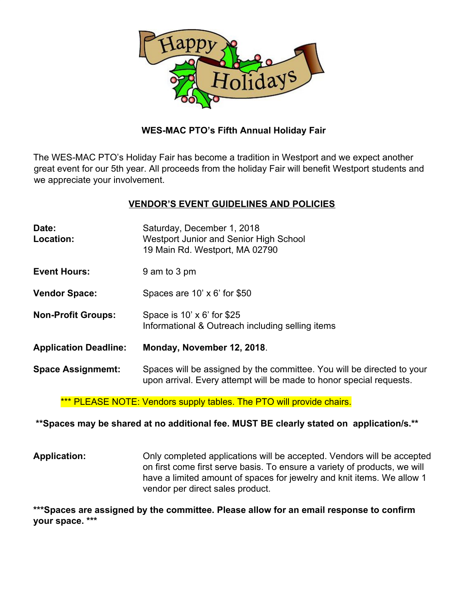

## **WES-MAC PTO's Fifth Annual Holiday Fair**

The WES-MAC PTO's Holiday Fair has become a tradition in Westport and we expect another great event for our 5th year. All proceeds from the holiday Fair will benefit Westport students and we appreciate your involvement.

## **VENDOR'S EVENT GUIDELINES AND POLICIES**

| Date:<br>Location:           | Saturday, December 1, 2018<br>Westport Junior and Senior High School<br>19 Main Rd. Westport, MA 02790                                        |  |
|------------------------------|-----------------------------------------------------------------------------------------------------------------------------------------------|--|
| <b>Event Hours:</b>          | 9 am to 3 pm                                                                                                                                  |  |
| <b>Vendor Space:</b>         | Spaces are $10' \times 6'$ for \$50                                                                                                           |  |
| <b>Non-Profit Groups:</b>    | Space is 10' x 6' for \$25<br>Informational & Outreach including selling items                                                                |  |
| <b>Application Deadline:</b> | Monday, November 12, 2018.                                                                                                                    |  |
| <b>Space Assignmemt:</b>     | Spaces will be assigned by the committee. You will be directed to your<br>upon arrival. Every attempt will be made to honor special requests. |  |

\*\*\* PLEASE NOTE: Vendors supply tables. The PTO will provide chairs.

### **\*\*Spaces may be shared at no additional fee. MUST BE clearly stated on application/s.\*\***

**Application:** Only completed applications will be accepted. Vendors will be accepted on first come first serve basis. To ensure a variety of products, we will have a limited amount of spaces for jewelry and knit items. We allow 1 vendor per direct sales product.

**\*\*\*Spaces are assigned by the committee. Please allow for an email response to confirm your space. \*\*\***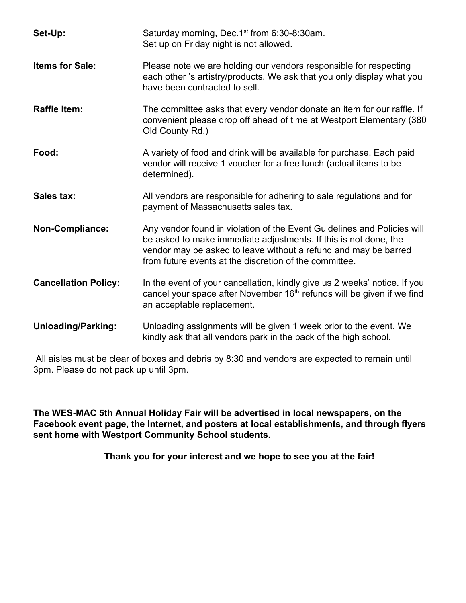| Set-Up:                     | Saturday morning, Dec.1 <sup>st</sup> from 6:30-8:30am.<br>Set up on Friday night is not allowed.                                                                                                                                                                        |  |  |
|-----------------------------|--------------------------------------------------------------------------------------------------------------------------------------------------------------------------------------------------------------------------------------------------------------------------|--|--|
| <b>Items for Sale:</b>      | Please note we are holding our vendors responsible for respecting<br>each other 's artistry/products. We ask that you only display what you<br>have been contracted to sell.                                                                                             |  |  |
| <b>Raffle Item:</b>         | The committee asks that every vendor donate an item for our raffle. If<br>convenient please drop off ahead of time at Westport Elementary (380)<br>Old County Rd.)                                                                                                       |  |  |
| Food:                       | A variety of food and drink will be available for purchase. Each paid<br>vendor will receive 1 voucher for a free lunch (actual items to be<br>determined).                                                                                                              |  |  |
| Sales tax:                  | All vendors are responsible for adhering to sale regulations and for<br>payment of Massachusetts sales tax.                                                                                                                                                              |  |  |
| Non-Compliance:             | Any vendor found in violation of the Event Guidelines and Policies will<br>be asked to make immediate adjustments. If this is not done, the<br>vendor may be asked to leave without a refund and may be barred<br>from future events at the discretion of the committee. |  |  |
| <b>Cancellation Policy:</b> | In the event of your cancellation, kindly give us 2 weeks' notice. If you<br>cancel your space after November $16th$ refunds will be given if we find<br>an acceptable replacement.                                                                                      |  |  |
| <b>Unloading/Parking:</b>   | Unloading assignments will be given 1 week prior to the event. We<br>kindly ask that all vendors park in the back of the high school.                                                                                                                                    |  |  |

 All aisles must be clear of boxes and debris by 8:30 and vendors are expected to remain until 3pm. Please do not pack up until 3pm.

**The WES-MAC 5th Annual Holiday Fair will be advertised in local newspapers, on the Facebook event page, the Internet, and posters at local establishments, and through flyers sent home with Westport Community School students.**

 **Thank you for your interest and we hope to see you at the fair!**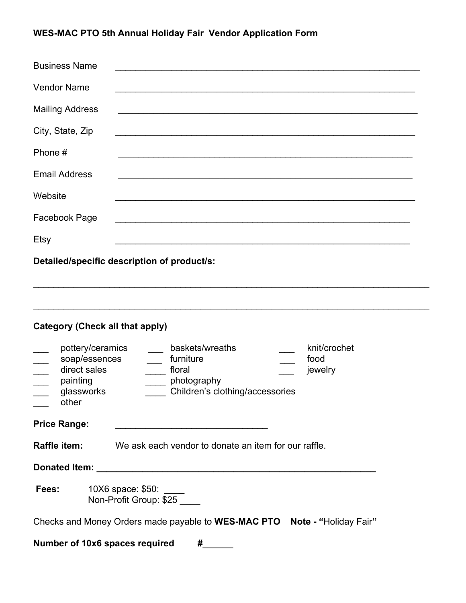# **WES-MAC PTO 5th Annual Holiday Fair Vendor Application Form**

| <b>Business Name</b>                                                                                                           |                                                                                                                             |  |  |  |  |
|--------------------------------------------------------------------------------------------------------------------------------|-----------------------------------------------------------------------------------------------------------------------------|--|--|--|--|
| <b>Vendor Name</b>                                                                                                             |                                                                                                                             |  |  |  |  |
| <b>Mailing Address</b>                                                                                                         |                                                                                                                             |  |  |  |  |
| City, State, Zip                                                                                                               |                                                                                                                             |  |  |  |  |
| Phone #                                                                                                                        |                                                                                                                             |  |  |  |  |
| <b>Email Address</b>                                                                                                           |                                                                                                                             |  |  |  |  |
| Website                                                                                                                        |                                                                                                                             |  |  |  |  |
| Facebook Page                                                                                                                  |                                                                                                                             |  |  |  |  |
| Etsy                                                                                                                           | <u> 1989 - Johann Stoff, amerikansk politiker (d. 1989)</u>                                                                 |  |  |  |  |
| Detailed/specific description of product/s:                                                                                    |                                                                                                                             |  |  |  |  |
| <b>Category (Check all that apply)</b><br>pottery/ceramics<br>soap/essences<br>direct sales<br>painting<br>glassworks<br>other | baskets/wreaths<br>knit/crochet<br>furniture<br>food<br>floral<br>jewelry<br>photography<br>Children's clothing/accessories |  |  |  |  |
| <b>Price Range:</b>                                                                                                            |                                                                                                                             |  |  |  |  |
| Raffle item:<br>We ask each vendor to donate an item for our raffle.                                                           |                                                                                                                             |  |  |  |  |
|                                                                                                                                |                                                                                                                             |  |  |  |  |
| Fees:<br>10X6 space: \$50:<br>Non-Profit Group: \$25                                                                           |                                                                                                                             |  |  |  |  |
| Checks and Money Orders made payable to WES-MAC PTO Note - "Holiday Fair"                                                      |                                                                                                                             |  |  |  |  |
| Number of 10x6 spaces required<br>#                                                                                            |                                                                                                                             |  |  |  |  |